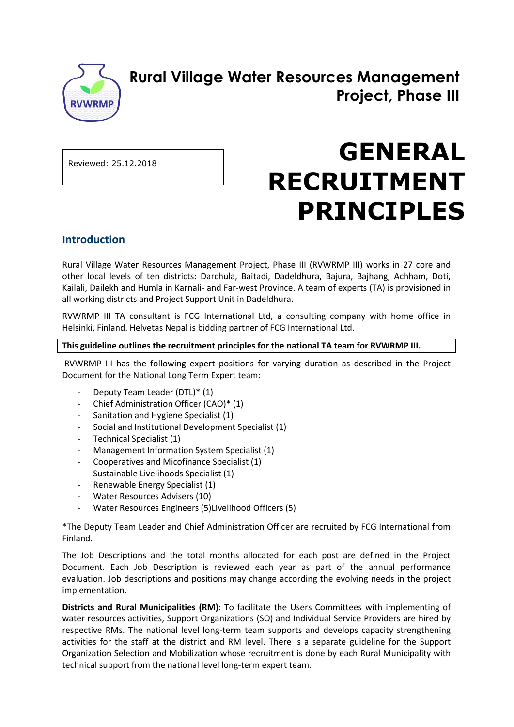

# **Rural Village Water Resources Management Project, Phase III**

Reviewed: 25.12.2018

# **GENERAL RECRUITMENT PRINCIPLES**

## **Introduction**

Rural Village Water Resources Management Project, Phase III (RVWRMP III) works in 27 core and other local levels of ten districts: Darchula, Baitadi, Dadeldhura, Bajura, Bajhang, Achham, Doti, Kailali, Dailekh and Humla in Karnali- and Far-west Province. A team of experts (TA) is provisioned in all working districts and Project Support Unit in Dadeldhura.

RVWRMP III TA consultant is FCG International Ltd, a consulting company with home office in Helsinki, Finland. Helvetas Nepal is bidding partner of FCG International Ltd.

#### **This guideline outlines the recruitment principles for the national TA team for RVWRMP III.**

RVWRMP III has the following expert positions for varying duration as described in the Project Document for the National Long Term Expert team:

- Deputy Team Leader (DTL)\* (1)
- Chief Administration Officer (CAO)\* (1)
- Sanitation and Hygiene Specialist (1)
- Social and Institutional Development Specialist (1)
- Technical Specialist (1)
- Management Information System Specialist (1)
- Cooperatives and Micofinance Specialist (1)
- Sustainable Livelihoods Specialist (1)
- Renewable Energy Specialist (1)
- Water Resources Advisers (10)
- Water Resources Engineers (5)Livelihood Officers (5)

\*The Deputy Team Leader and Chief Administration Officer are recruited by FCG International from Finland.

The Job Descriptions and the total months allocated for each post are defined in the Project Document. Each Job Description is reviewed each year as part of the annual performance evaluation. Job descriptions and positions may change according the evolving needs in the project implementation.

**Districts and Rural Municipalities (RM)**: To facilitate the Users Committees with implementing of water resources activities, Support Organizations (SO) and Individual Service Providers are hired by respective RMs. The national level long-term team supports and develops capacity strengthening activities for the staff at the district and RM level. There is a separate guideline for the Support Organization Selection and Mobilization whose recruitment is done by each Rural Municipality with technical support from the national level long-term expert team.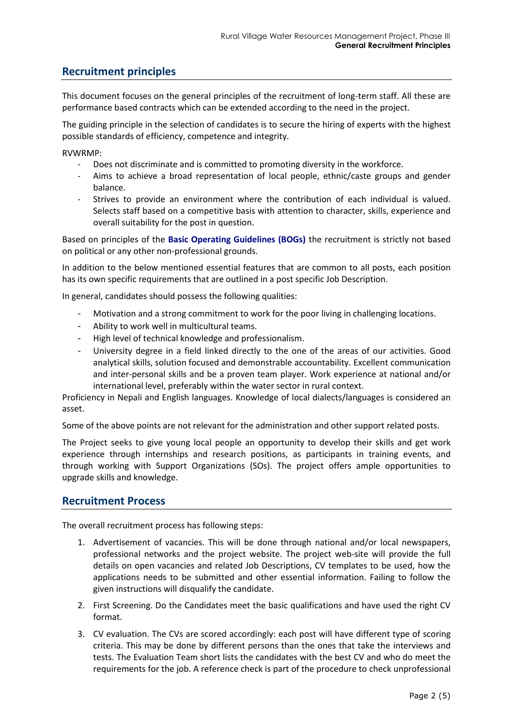# **Recruitment principles**

This document focuses on the general principles of the recruitment of long-term staff. All these are performance based contracts which can be extended according to the need in the project.

The guiding principle in the selection of candidates is to secure the hiring of experts with the highest possible standards of efficiency, competence and integrity.

RVWRMP:

- Does not discriminate and is committed to promoting diversity in the workforce.
- Aims to achieve a broad representation of local people, ethnic/caste groups and gender balance.
- Strives to provide an environment where the contribution of each individual is valued. Selects staff based on a competitive basis with attention to character, skills, experience and overall suitability for the post in question.

Based on principles of the **Basic Operating Guidelines (BOGs)** the recruitment is strictly not based on political or any other non-professional grounds.

In addition to the below mentioned essential features that are common to all posts, each position has its own specific requirements that are outlined in a post specific Job Description.

In general, candidates should possess the following qualities:

- Motivation and a strong commitment to work for the poor living in challenging locations.
- Ability to work well in multicultural teams.
- High level of technical knowledge and professionalism.
- University degree in a field linked directly to the one of the areas of our activities. Good analytical skills, solution focused and demonstrable accountability. Excellent communication and inter-personal skills and be a proven team player. Work experience at national and/or international level, preferably within the water sector in rural context.

Proficiency in Nepali and English languages. Knowledge of local dialects/languages is considered an asset.

Some of the above points are not relevant for the administration and other support related posts.

The Project seeks to give young local people an opportunity to develop their skills and get work experience through internships and research positions, as participants in training events, and through working with Support Organizations (SOs). The project offers ample opportunities to upgrade skills and knowledge.

#### **Recruitment Process**

The overall recruitment process has following steps:

- 1. Advertisement of vacancies. This will be done through national and/or local newspapers, professional networks and the project website. The project web-site will provide the full details on open vacancies and related Job Descriptions, CV templates to be used, how the applications needs to be submitted and other essential information. Failing to follow the given instructions will disqualify the candidate.
- 2. First Screening. Do the Candidates meet the basic qualifications and have used the right CV format.
- 3. CV evaluation. The CVs are scored accordingly: each post will have different type of scoring criteria. This may be done by different persons than the ones that take the interviews and tests. The Evaluation Team short lists the candidates with the best CV and who do meet the requirements for the job. A reference check is part of the procedure to check unprofessional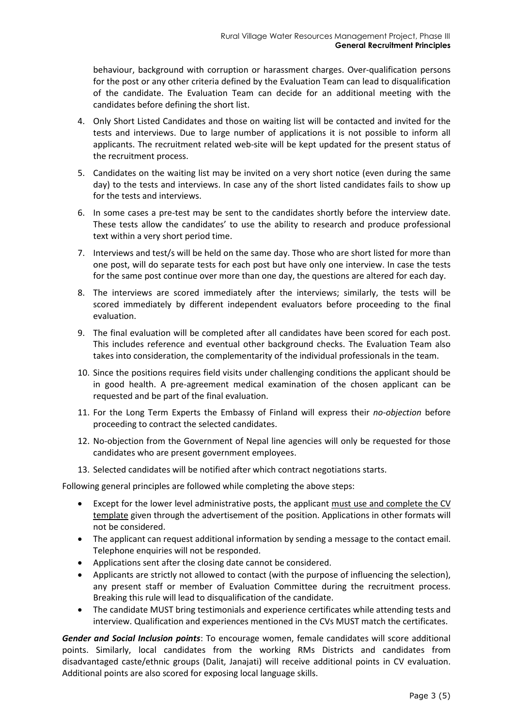behaviour, background with corruption or harassment charges. Over-qualification persons for the post or any other criteria defined by the Evaluation Team can lead to disqualification of the candidate. The Evaluation Team can decide for an additional meeting with the candidates before defining the short list.

- 4. Only Short Listed Candidates and those on waiting list will be contacted and invited for the tests and interviews. Due to large number of applications it is not possible to inform all applicants. The recruitment related web-site will be kept updated for the present status of the recruitment process.
- 5. Candidates on the waiting list may be invited on a very short notice (even during the same day) to the tests and interviews. In case any of the short listed candidates fails to show up for the tests and interviews.
- 6. In some cases a pre-test may be sent to the candidates shortly before the interview date. These tests allow the candidates' to use the ability to research and produce professional text within a very short period time.
- 7. Interviews and test/s will be held on the same day. Those who are short listed for more than one post, will do separate tests for each post but have only one interview. In case the tests for the same post continue over more than one day, the questions are altered for each day.
- 8. The interviews are scored immediately after the interviews; similarly, the tests will be scored immediately by different independent evaluators before proceeding to the final evaluation.
- 9. The final evaluation will be completed after all candidates have been scored for each post. This includes reference and eventual other background checks. The Evaluation Team also takes into consideration, the complementarity of the individual professionals in the team.
- 10. Since the positions requires field visits under challenging conditions the applicant should be in good health. A pre-agreement medical examination of the chosen applicant can be requested and be part of the final evaluation.
- 11. For the Long Term Experts the Embassy of Finland will express their *no-objection* before proceeding to contract the selected candidates.
- 12. No-objection from the Government of Nepal line agencies will only be requested for those candidates who are present government employees.
- 13. Selected candidates will be notified after which contract negotiations starts.

Following general principles are followed while completing the above steps:

- Except for the lower level administrative posts, the applicant must use and complete the CV template given through the advertisement of the position. Applications in other formats will not be considered.
- The applicant can request additional information by sending a message to the contact email. Telephone enquiries will not be responded.
- Applications sent after the closing date cannot be considered.
- Applicants are strictly not allowed to contact (with the purpose of influencing the selection), any present staff or member of Evaluation Committee during the recruitment process. Breaking this rule will lead to disqualification of the candidate.
- The candidate MUST bring testimonials and experience certificates while attending tests and interview. Qualification and experiences mentioned in the CVs MUST match the certificates.

*Gender and Social Inclusion points*: To encourage women, female candidates will score additional points. Similarly, local candidates from the working RMs Districts and candidates from disadvantaged caste/ethnic groups (Dalit, Janajati) will receive additional points in CV evaluation. Additional points are also scored for exposing local language skills.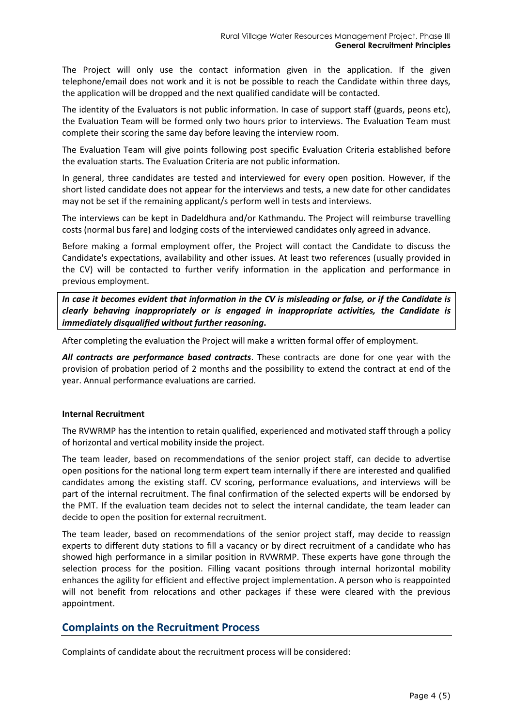The Project will only use the contact information given in the application. If the given telephone/email does not work and it is not be possible to reach the Candidate within three days, the application will be dropped and the next qualified candidate will be contacted.

The identity of the Evaluators is not public information. In case of support staff (guards, peons etc), the Evaluation Team will be formed only two hours prior to interviews. The Evaluation Team must complete their scoring the same day before leaving the interview room.

The Evaluation Team will give points following post specific Evaluation Criteria established before the evaluation starts. The Evaluation Criteria are not public information.

In general, three candidates are tested and interviewed for every open position. However, if the short listed candidate does not appear for the interviews and tests, a new date for other candidates may not be set if the remaining applicant/s perform well in tests and interviews.

The interviews can be kept in Dadeldhura and/or Kathmandu. The Project will reimburse travelling costs (normal bus fare) and lodging costs of the interviewed candidates only agreed in advance.

Before making a formal employment offer, the Project will contact the Candidate to discuss the Candidate's expectations, availability and other issues. At least two references (usually provided in the CV) will be contacted to further verify information in the application and performance in previous employment.

*In case it becomes evident that information in the CV is misleading or false, or if the Candidate is clearly behaving inappropriately or is engaged in inappropriate activities, the Candidate is immediately disqualified without further reasoning***.**

After completing the evaluation the Project will make a written formal offer of employment.

*All contracts are performance based contracts*. These contracts are done for one year with the provision of probation period of 2 months and the possibility to extend the contract at end of the year. Annual performance evaluations are carried.

#### **Internal Recruitment**

The RVWRMP has the intention to retain qualified, experienced and motivated staff through a policy of horizontal and vertical mobility inside the project.

The team leader, based on recommendations of the senior project staff, can decide to advertise open positions for the national long term expert team internally if there are interested and qualified candidates among the existing staff. CV scoring, performance evaluations, and interviews will be part of the internal recruitment. The final confirmation of the selected experts will be endorsed by the PMT. If the evaluation team decides not to select the internal candidate, the team leader can decide to open the position for external recruitment.

The team leader, based on recommendations of the senior project staff, may decide to reassign experts to different duty stations to fill a vacancy or by direct recruitment of a candidate who has showed high performance in a similar position in RVWRMP. These experts have gone through the selection process for the position. Filling vacant positions through internal horizontal mobility enhances the agility for efficient and effective project implementation. A person who is reappointed will not benefit from relocations and other packages if these were cleared with the previous appointment.

## **Complaints on the Recruitment Process**

Complaints of candidate about the recruitment process will be considered: